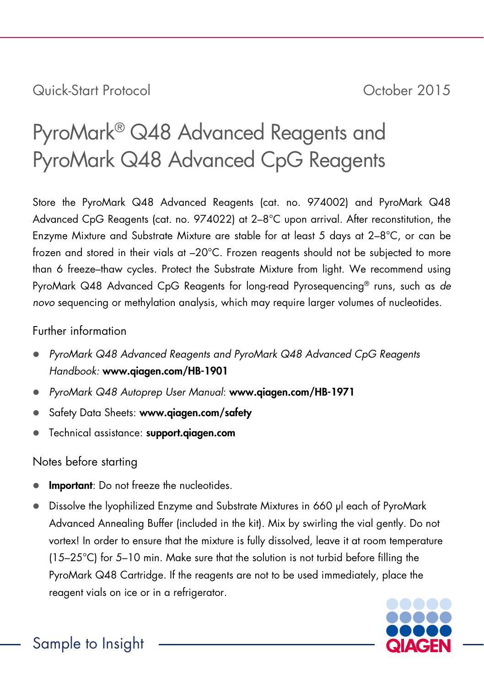Quick-Start Protocol October 2015

# PyroMark® Q48 Advanced Reagents and PyroMark Q48 Advanced CpG Reagents

Store the PyroMark Q48 Advanced Reagents (cat. no. 974002) and PyroMark Q48 Advanced CpG Reagents (cat. no. 974022) at 2–8°C upon arrival. After reconstitution, the Enzyme Mixture and Substrate Mixture are stable for at least 5 days at 2–8°C, or can be frozen and stored in their vials at –20°C. Frozen reagents should not be subjected to more than 6 freeze–thaw cycles. Protect the Substrate Mixture from light. We recommend using PyroMark Q48 Advanced CpG Reagents for long-read Pyrosequencing® runs, such as *de novo* sequencing or methylation analysis, which may require larger volumes of nucleotides.

#### Further information

- *PyroMark Q48 Advanced Reagents and PyroMark Q48 Advanced CpG Reagents Handbook:* www.qiagen.com/HB-1901
- *PyroMark Q48 Autoprep User Manual*: www.qiagen.com/HB-1971
- Safety Data Sheets: www.qiagen.com/safety
- Technical assistance: support.qiagen.com

#### Notes before starting

- Important: Do not freeze the nucleotides.
- Dissolve the lyophilized Enzyme and Substrate Mixtures in 660 µl each of PyroMark Advanced Annealing Buffer (included in the kit). Mix by swirling the vial gently. Do not vortex! In order to ensure that the mixture is fully dissolved, leave it at room temperature (15–25°C) for 5–10 min. Make sure that the solution is not turbid before filling the PyroMark Q48 Cartridge. If the reagents are not to be used immediately, place the reagent vials on ice or in a refrigerator.



Sample to Insight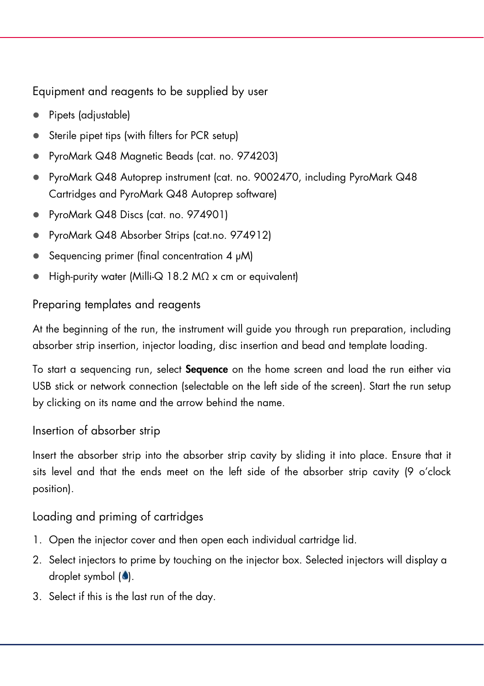Equipment and reagents to be supplied by user

- Pipets (adjustable)
- Sterile pipet tips (with filters for PCR setup)
- PyroMark Q48 Magnetic Beads (cat. no. 974203)
- PyroMark Q48 Autoprep instrument (cat. no. 9002470, including PyroMark Q48 Cartridges and PyroMark Q48 Autoprep software)
- PyroMark Q48 Discs (cat. no. 974901)
- PyroMark Q48 Absorber Strips (cat.no. 974912)
- Sequencing primer (final concentration 4 µM)
- High-purity water (Milli-Q 18.2 MΩ x cm or equivalent)

### Preparing templates and reagents

At the beginning of the run, the instrument will guide you through run preparation, including absorber strip insertion, injector loading, disc insertion and bead and template loading.

To start a sequencing run, select **Sequence** on the home screen and load the run either via USB stick or network connection (selectable on the left side of the screen). Start the run setup by clicking on its name and the arrow behind the name.

#### Insertion of absorber strip

Insert the absorber strip into the absorber strip cavity by sliding it into place. Ensure that it sits level and that the ends meet on the left side of the absorber strip cavity (9 o'clock position).

## Loading and priming of cartridges

- 1. Open the injector cover and then open each individual cartridge lid.
- 2. Select injectors to prime by touching on the injector box. Selected injectors will display a droplet symbol  $($
- 3. Select if this is the last run of the day.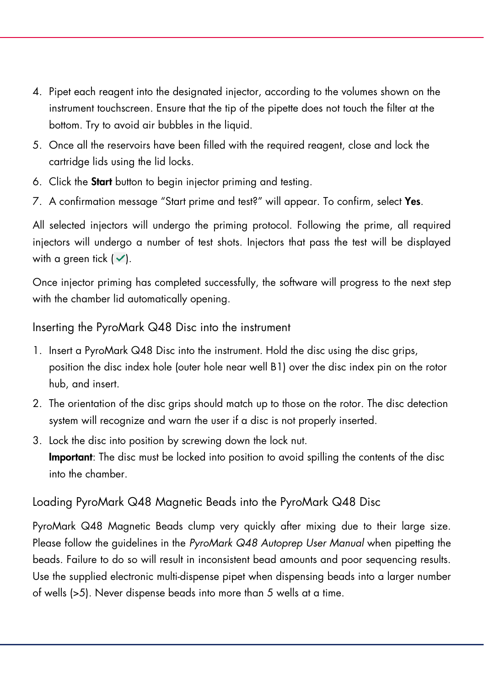- 4. Pipet each reagent into the designated injector, according to the volumes shown on the instrument touchscreen. Ensure that the tip of the pipette does not touch the filter at the bottom. Try to avoid air bubbles in the liquid.
- 5. Once all the reservoirs have been filled with the required reagent, close and lock the cartridge lids using the lid locks.
- 6. Click the Start button to begin injector priming and testing.
- 7. A confirmation message "Start prime and test?" will appear. To confirm, select Yes.

All selected injectors will undergo the priming protocol. Following the prime, all required injectors will undergo a number of test shots. Injectors that pass the test will be displayed with a green tick  $(\checkmark)$ .

Once injector priming has completed successfully, the software will progress to the next step with the chamber lid automatically opening.

Inserting the PyroMark Q48 Disc into the instrument

- 1. Insert a PyroMark Q48 Disc into the instrument. Hold the disc using the disc grips, position the disc index hole (outer hole near well B1) over the disc index pin on the rotor hub, and insert.
- 2. The orientation of the disc grips should match up to those on the rotor. The disc detection system will recognize and warn the user if a disc is not properly inserted.
- 3. Lock the disc into position by screwing down the lock nut. Important: The disc must be locked into position to avoid spilling the contents of the disc into the chamber.

## Loading PyroMark Q48 Magnetic Beads into the PyroMark Q48 Disc

PyroMark Q48 Magnetic Beads clump very quickly after mixing due to their large size. Please follow the guidelines in the *PyroMark Q48 Autoprep User Manual* when pipetting the beads. Failure to do so will result in inconsistent bead amounts and poor sequencing results. Use the supplied electronic multi-dispense pipet when dispensing beads into a larger number of wells (>5). Never dispense beads into more than 5 wells at a time.